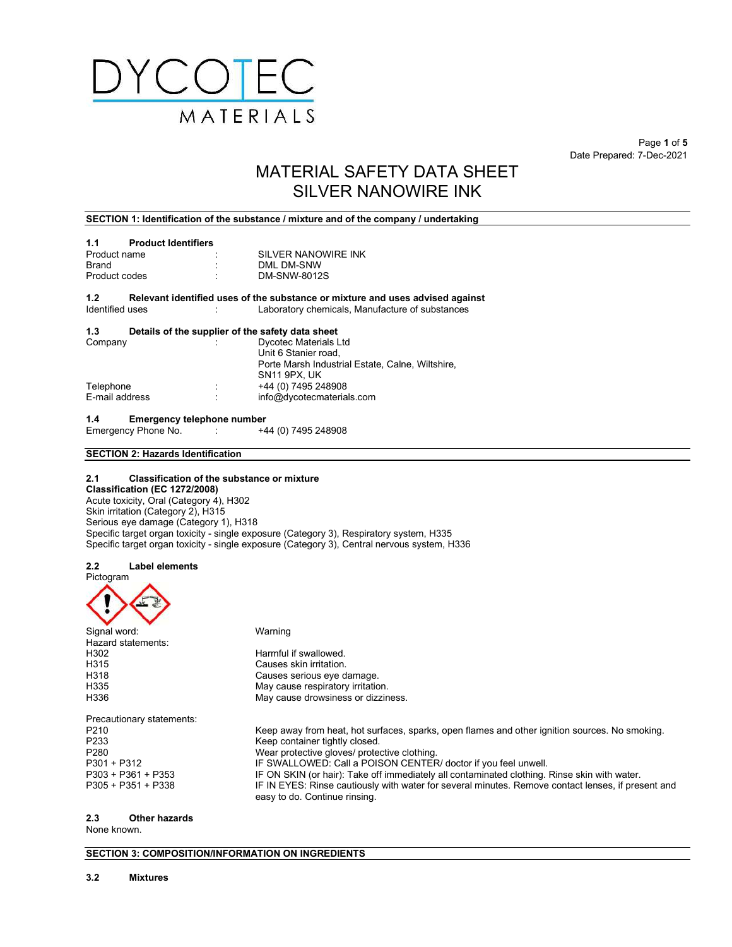

 $\textsf{Page 1 of 5}$ Date Prepared: 7-Dec-2021

# MATERIAL SAFETY DATA SHEET SILVER NANOWIRE INK

## SECTION 1: Identification of the substance / mixture and of the company / undertaking

| 1.1                    | <b>Product Identifiers</b> |   |                                                                                                                                  |
|------------------------|----------------------------|---|----------------------------------------------------------------------------------------------------------------------------------|
| Product name           |                            |   | SILVER NANOWIRE INK                                                                                                              |
| Brand                  |                            | ÷ | DML DM-SNW                                                                                                                       |
| Product codes          |                            | ÷ | DM-SNW-8012S                                                                                                                     |
| 1.2<br>Identified uses |                            |   | Relevant identified uses of the substance or mixture and uses advised against<br>Laboratory chemicals, Manufacture of substances |

#### 1.3 Details of the supplier of the safety data sheet

| ٠<br>$\cdot$ | Dycotec Materials Ltd                            |
|--------------|--------------------------------------------------|
|              | Unit 6 Stanier road.                             |
|              | Porte Marsh Industrial Estate, Calne, Wiltshire, |
|              | SN <sub>11</sub> 9PX, UK                         |
| ٠<br>$\cdot$ | +44 (0) 7495 248908                              |
| ٠            | info@dycotecmaterials.com                        |
|              |                                                  |

1.4 Emergency telephone number<br>Emergency Phone No. 44 (0) 7495 248908 Emergency Phone No. :

## SECTION 2: Hazards Identification

## 2.1 Classification of the substance or mixture

Classification (EC 1272/2008) Acute toxicity, Oral (Category 4), H302 Skin irritation (Category 2), H315 Serious eye damage (Category 1), H318 Specific target organ toxicity - single exposure (Category 3), Respiratory system, H335 Specific target organ toxicity - single exposure (Category 3), Central nervous system, H336

## 2.2 Label elements

| Pictogram                 |                                                                                                                                     |
|---------------------------|-------------------------------------------------------------------------------------------------------------------------------------|
|                           |                                                                                                                                     |
| Signal word:              | Warning                                                                                                                             |
| Hazard statements:        |                                                                                                                                     |
| H302                      | Harmful if swallowed.                                                                                                               |
| H315                      | Causes skin irritation.                                                                                                             |
| H318                      | Causes serious eye damage.                                                                                                          |
| H335                      | May cause respiratory irritation.                                                                                                   |
| H336                      | May cause drowsiness or dizziness.                                                                                                  |
| Precautionary statements: |                                                                                                                                     |
| P <sub>210</sub>          | Keep away from heat, hot surfaces, sparks, open flames and other ignition sources. No smoking.                                      |
| P233                      | Keep container tightly closed.                                                                                                      |
| P280                      | Wear protective gloves/ protective clothing.                                                                                        |
| P301 + P312               | IF SWALLOWED: Call a POISON CENTER/ doctor if you feel unwell.                                                                      |
| $P303 + P361 + P353$      | IF ON SKIN (or hair): Take off immediately all contaminated clothing. Rinse skin with water.                                        |
| P305 + P351 + P338        | IF IN EYES: Rinse cautiously with water for several minutes. Remove contact lenses, if present and<br>easy to do. Continue rinsing. |

## 2.3 Other hazards

None known.

SECTION 3: COMPOSITION/INFORMATION ON INGREDIENTS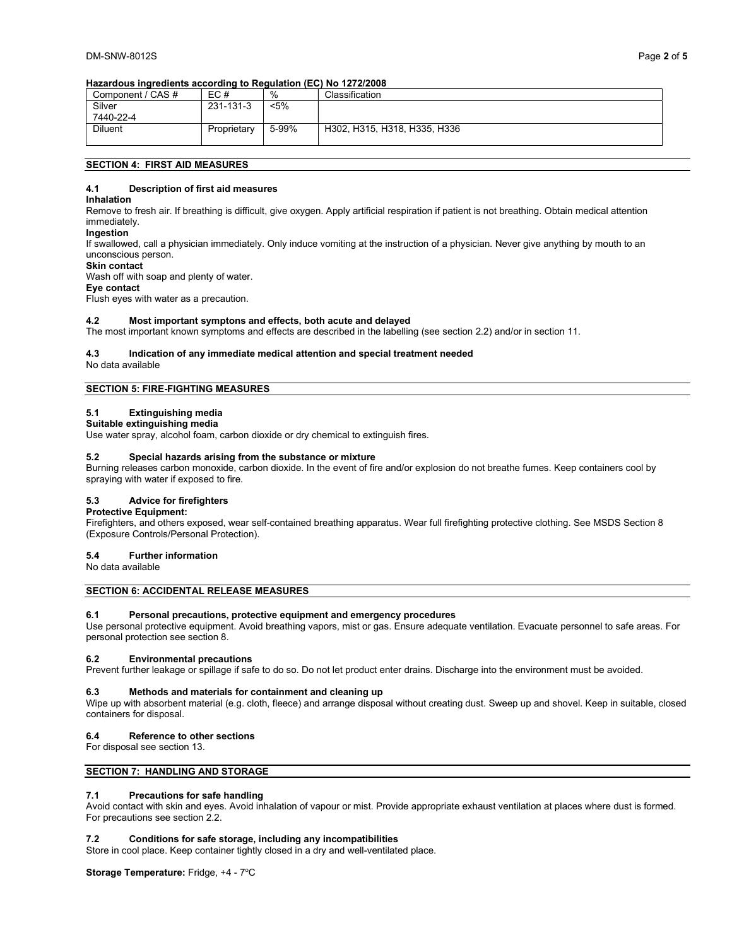## Hazardous ingredients according to Regulation (EC) No 1272/2008

| Component / CAS # | EC#         | %     | Classification               |
|-------------------|-------------|-------|------------------------------|
| Silver            | 231-131-3   | <5%   |                              |
| 7440-22-4         |             |       |                              |
| Diluent           | Proprietary | 5-99% | H302, H315, H318, H335, H336 |
|                   |             |       |                              |

## SECTION 4: FIRST AID MEASURES

## 4.1 Description of first aid measures

#### Inhalation

Remove to fresh air. If breathing is difficult, give oxygen. Apply artificial respiration if patient is not breathing. Obtain medical attention immediately.

#### Ingestion

If swallowed, call a physician immediately. Only induce vomiting at the instruction of a physician. Never give anything by mouth to an unconscious person.

#### Skin contact

Wash off with soap and plenty of water.

## Eye contact

Flush eyes with water as a precaution.

## 4.2 Most important symptons and effects, both acute and delayed

The most important known symptoms and effects are described in the labelling (see section 2.2) and/or in section 11.

## 4.3 Indication of any immediate medical attention and special treatment needed

No data available

## SECTION 5: FIRE-FIGHTING MEASURES

## 5.1 Extinguishing media

## Suitable extinguishing media

Use water spray, alcohol foam, carbon dioxide or dry chemical to extinguish fires.

#### 5.2 Special hazards arising from the substance or mixture

Burning releases carbon monoxide, carbon dioxide. In the event of fire and/or explosion do not breathe fumes. Keep containers cool by spraying with water if exposed to fire.

#### 5.3 Advice for firefighters

## Protective Equipment:

Firefighters, and others exposed, wear self-contained breathing apparatus. Wear full firefighting protective clothing. See MSDS Section 8 (Exposure Controls/Personal Protection).

#### 5.4 Further information

No data available

SECTION 6: ACCIDENTAL RELEASE MEASURES

#### 6.1 Personal precautions, protective equipment and emergency procedures

Use personal protective equipment. Avoid breathing vapors, mist or gas. Ensure adequate ventilation. Evacuate personnel to safe areas. For personal protection see section 8.

#### 6.2 Environmental precautions

Prevent further leakage or spillage if safe to do so. Do not let product enter drains. Discharge into the environment must be avoided.

#### 6.3 Methods and materials for containment and cleaning up

Wipe up with absorbent material (e.g. cloth, fleece) and arrange disposal without creating dust. Sweep up and shovel. Keep in suitable, closed containers for disposal.

## 6.4 Reference to other sections

For disposal see section 13.

## SECTION 7: HANDLING AND STORAGE

## 7.1 Precautions for safe handling

Avoid contact with skin and eyes. Avoid inhalation of vapour or mist. Provide appropriate exhaust ventilation at places where dust is formed. For precautions see section 2.2.

## 7.2 Conditions for safe storage, including any incompatibilities

Store in cool place. Keep container tightly closed in a dry and well-ventilated place.

Storage Temperature: Fridge, +4 - 7°C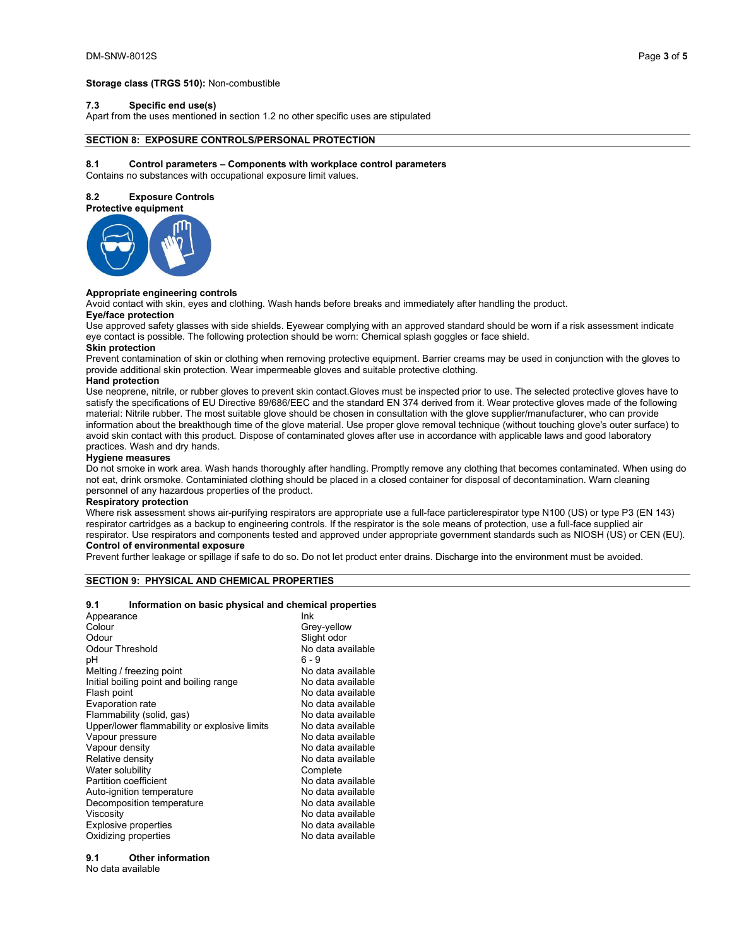#### Storage class (TRGS 510): Non-combustible

## 7.3 Specific end use(s)

Apart from the uses mentioned in section 1.2 no other specific uses are stipulated

## SECTION 8: EXPOSURE CONTROLS/PERSONAL PROTECTION

#### 8.1 Control parameters – Components with workplace control parameters

Contains no substances with occupational exposure limit values.

#### 8.2 Exposure Controls



#### Appropriate engineering controls

Avoid contact with skin, eyes and clothing. Wash hands before breaks and immediately after handling the product.

## Eye/face protection

Use approved safety glasses with side shields. Eyewear complying with an approved standard should be worn if a risk assessment indicate eye contact is possible. The following protection should be worn: Chemical splash goggles or face shield.

## Skin protection

Prevent contamination of skin or clothing when removing protective equipment. Barrier creams may be used in conjunction with the gloves to provide additional skin protection. Wear impermeable gloves and suitable protective clothing.

#### Hand protection

Use neoprene, nitrile, or rubber gloves to prevent skin contact.Gloves must be inspected prior to use. The selected protective gloves have to satisfy the specifications of EU Directive 89/686/EEC and the standard EN 374 derived from it. Wear protective gloves made of the following material: Nitrile rubber. The most suitable glove should be chosen in consultation with the glove supplier/manufacturer, who can provide information about the breakthough time of the glove material. Use proper glove removal technique (without touching glove's outer surface) to avoid skin contact with this product. Dispose of contaminated gloves after use in accordance with applicable laws and good laboratory practices. Wash and dry hands.

#### Hygiene measures

Do not smoke in work area. Wash hands thoroughly after handling. Promptly remove any clothing that becomes contaminated. When using do not eat, drink orsmoke. Contaminiated clothing should be placed in a closed container for disposal of decontamination. Warn cleaning personnel of any hazardous properties of the product.

#### Respiratory protection

Where risk assessment shows air-purifying respirators are appropriate use a full-face particlerespirator type N100 (US) or type P3 (EN 143) respirator cartridges as a backup to engineering controls. If the respirator is the sole means of protection, use a full-face supplied air respirator. Use respirators and components tested and approved under appropriate government standards such as NIOSH (US) or CEN (EU). Control of environmental exposure

Prevent further leakage or spillage if safe to do so. Do not let product enter drains. Discharge into the environment must be avoided.

#### SECTION 9: PHYSICAL AND CHEMICAL PROPERTIES

#### 9.1 Information on basic physical and chemical properties

| Appearance                                   | lnk               |
|----------------------------------------------|-------------------|
| Colour                                       | Grey-yellow       |
| Odour                                        | Slight odor       |
| Odour Threshold                              | No data available |
| рH                                           | ճ - 9             |
| Melting / freezing point                     | No data available |
| Initial boiling point and boiling range      | No data available |
| Flash point                                  | No data available |
| Evaporation rate                             | No data available |
| Flammability (solid, gas)                    | No data available |
| Upper/lower flammability or explosive limits | No data available |
| Vapour pressure                              | No data available |
| Vapour density                               | No data available |
| Relative density                             | No data available |
| Water solubility                             | Complete          |
| Partition coefficient                        | No data available |
| Auto-ignition temperature                    | No data available |
| Decomposition temperature                    | No data available |
| Viscositv                                    | No data available |
| Explosive properties                         | No data available |
| Oxidizing properties                         | No data available |
|                                              |                   |

## 9.1 Other information

No data available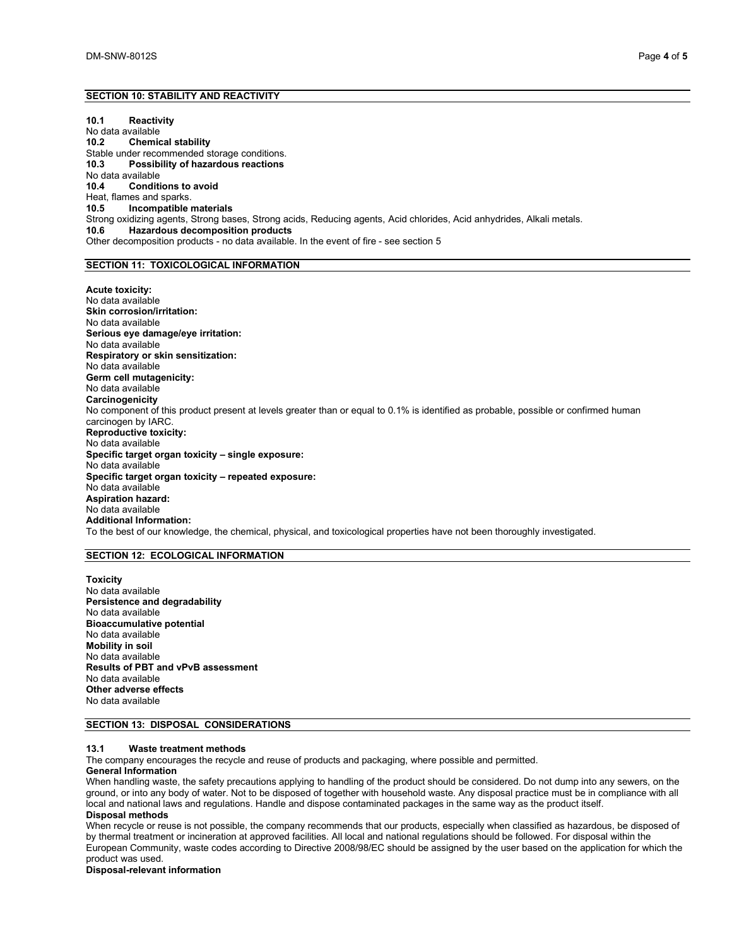## SECTION 10: STABILITY AND REACTIVITY

10.1 Reactivity No data available 10.2 Chemical stability Stable under recommended storage conditions.<br>10.3 Possibility of hazardous reactions Possibility of hazardous reactions No data available 10.4 Conditions to avoid Heat, flames and sparks.<br>10.5 **Incompatible I** Incompatible materials Strong oxidizing agents, Strong bases, Strong acids, Reducing agents, Acid chlorides, Acid anhydrides, Alkali metals.<br>10.6 **Hazardous decomposition products** Hazardous decomposition products Other decomposition products - no data available. In the event of fire - see section 5

## SECTION 11: TOXICOLOGICAL INFORMATION

Acute toxicity: No data available Skin corrosion/irritation: No data available Serious eye damage/eye irritation: No data available Respiratory or skin sensitization: No data available Germ cell mutagenicity: No data available **Carcinogenicity** No component of this product present at levels greater than or equal to 0.1% is identified as probable, possible or confirmed human carcinogen by IARC. Reproductive toxicity: No data available Specific target organ toxicity – single exposure: No data available Specific target organ toxicity – repeated exposure: No data available Aspiration hazard: No data available Additional Information: To the best of our knowledge, the chemical, physical, and toxicological properties have not been thoroughly investigated.

#### SECTION 12: ECOLOGICAL INFORMATION

Toxicity No data available Persistence and degradability No data available Bioaccumulative potential No data available Mobility in soil No data available Results of PBT and vPvB assessment No data available Other adverse effects No data available

## SECTION 13: DISPOSAL CONSIDERATIONS

## 13.1 Waste treatment methods

The company encourages the recycle and reuse of products and packaging, where possible and permitted.

## General Information

When handling waste, the safety precautions applying to handling of the product should be considered. Do not dump into any sewers, on the ground, or into any body of water. Not to be disposed of together with household waste. Any disposal practice must be in compliance with all local and national laws and regulations. Handle and dispose contaminated packages in the same way as the product itself. Disposal methods

When recycle or reuse is not possible, the company recommends that our products, especially when classified as hazardous, be disposed of by thermal treatment or incineration at approved facilities. All local and national regulations should be followed. For disposal within the European Community, waste codes according to Directive 2008/98/EC should be assigned by the user based on the application for which the product was used.

Disposal-relevant information